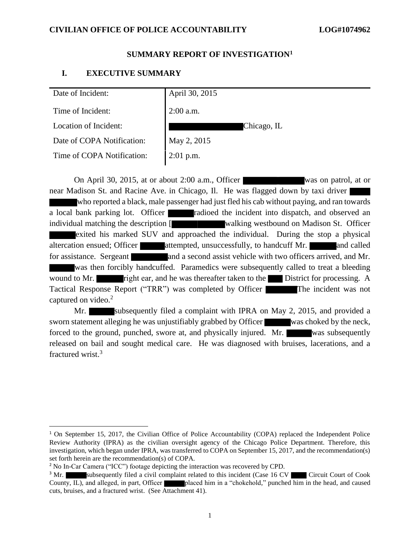#### **SUMMARY REPORT OF INVESTIGATION<sup>1</sup>**

### **I. EXECUTIVE SUMMARY**

| Date of Incident:          | April 30, 2015 |
|----------------------------|----------------|
| Time of Incident:          | $2:00$ a.m.    |
| Location of Incident:      | Chicago, IL    |
| Date of COPA Notification: | May 2, 2015    |
| Time of COPA Notification: | $2:01$ p.m.    |
|                            |                |

On April 30, 2015, at or about 2:00 a.m., Officer was on patrol, at or near Madison St. and Racine Ave. in Chicago, Il. He was flagged down by taxi driver who reported a black, male passenger had just fled his cab without paying, and ran towards a local bank parking lot. Officer radioed the incident into dispatch, and observed an individual matching the description **[** walking westbound on Madison St. Officer exited his marked SUV and approached the individual. During the stop a physical altercation ensued; Officer attempted, unsuccessfully, to handcuff Mr. and called for assistance. Sergeant and a second assist vehicle with two officers arrived, and Mr. was then forcibly handcuffed. Paramedics were subsequently called to treat a bleeding wound to Mr. **right ear, and he was thereafter taken to the District for processing.** A Tactical Response Report ("TRR") was completed by Officer The incident was not captured on video. 2

Mr. Subsequently filed a complaint with IPRA on May 2, 2015, and provided a sworn statement alleging he was unjustifiably grabbed by Officer was choked by the neck, forced to the ground, punched, swore at, and physically injured. Mr. was subsequently released on bail and sought medical care. He was diagnosed with bruises, lacerations, and a fractured wrist.<sup>3</sup>

<sup>&</sup>lt;sup>1</sup> On September 15, 2017, the Civilian Office of Police Accountability (COPA) replaced the Independent Police Review Authority (IPRA) as the civilian oversight agency of the Chicago Police Department. Therefore, this investigation, which began under IPRA, was transferred to COPA on September 15, 2017, and the recommendation(s) set forth herein are the recommendation(s) of COPA.

<sup>&</sup>lt;sup>2</sup> No In-Car Camera ("ICC") footage depicting the interaction was recovered by CPD.

<sup>&</sup>lt;sup>3</sup> Mr. subsequently filed a civil complaint related to this incident (Case 16 CV Circuit Court of Cook County, IL), and alleged, in part, Officer placed him in a "chokehold," punched him in the head, and caused cuts, bruises, and a fractured wrist. (See Attachment 41).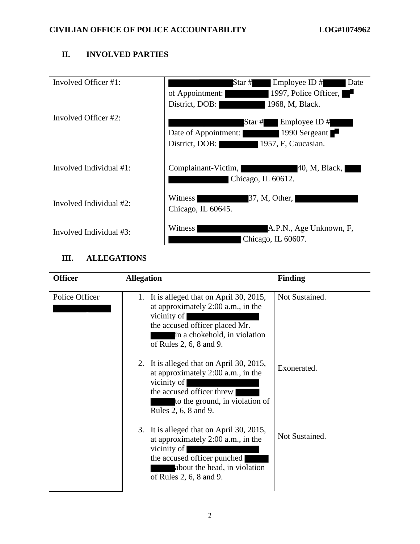# **II. INVOLVED PARTIES**

| Involved Officer #1:    | Employee ID#<br>Star #<br>Date<br>1997, Police Officer,<br>of Appointment:<br>n p<br>District, DOB:<br>1968, M, Black. |
|-------------------------|------------------------------------------------------------------------------------------------------------------------|
| Involved Officer #2:    | Star #<br>Employee ID $#$<br>1990 Sergeant<br>Date of Appointment:<br>1957, F, Caucasian.<br>District, DOB:            |
| Involved Individual #1: | Complainant-Victim,<br>40, M, Black,<br>Chicago, IL 60612.                                                             |
| Involved Individual #2: | 37, M, Other,<br>Witness<br>Chicago, IL 60645.                                                                         |
| Involved Individual #3: | Witness<br>A.P.N., Age Unknown, F,<br>Chicago, IL 60607.                                                               |

# **III. ALLEGATIONS**

| <b>Officer</b> | <b>Allegation</b>                                                                                                                                                                          | <b>Finding</b> |
|----------------|--------------------------------------------------------------------------------------------------------------------------------------------------------------------------------------------|----------------|
| Police Officer | 1. It is alleged that on April 30, 2015,<br>at approximately 2:00 a.m., in the<br>vicinity of<br>the accused officer placed Mr.<br>in a chokehold, in violation<br>of Rules 2, 6, 8 and 9. | Not Sustained. |
|                | 2. It is alleged that on April 30, 2015,<br>at approximately 2:00 a.m., in the<br>vicinity of<br>the accused officer threw<br>to the ground, in violation of<br>Rules 2, 6, 8 and 9.       | Exonerated.    |
|                | 3. It is alleged that on April 30, 2015,<br>at approximately 2:00 a.m., in the<br>vicinity of<br>the accused officer punched<br>about the head, in violation<br>of Rules 2, 6, 8 and 9.    | Not Sustained. |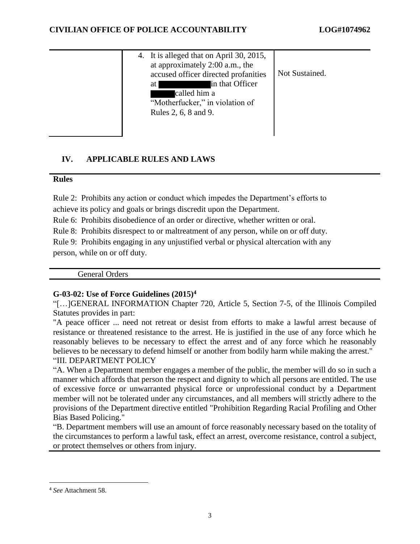| 4. It is alleged that on April 30, 2015,<br>at approximately 2:00 a.m., the<br>Not Sustained.<br>accused officer directed profanities<br>in that Officer<br>at<br>called him a<br>"Motherfucker," in violation of<br>Rules 2, 6, 8 and 9. |
|-------------------------------------------------------------------------------------------------------------------------------------------------------------------------------------------------------------------------------------------|
|-------------------------------------------------------------------------------------------------------------------------------------------------------------------------------------------------------------------------------------------|

# **IV. APPLICABLE RULES AND LAWS**

## **Rules**

Rule 2: Prohibits any action or conduct which impedes the Department's efforts to

achieve its policy and goals or brings discredit upon the Department.

Rule 6: Prohibits disobedience of an order or directive, whether written or oral.

Rule 8: Prohibits disrespect to or maltreatment of any person, while on or off duty.

Rule 9: Prohibits engaging in any unjustified verbal or physical altercation with any person, while on or off duty.

General Orders

# **G-03-02: Use of Force Guidelines (2015)<sup>4</sup>**

"[…]GENERAL INFORMATION Chapter 720, Article 5, Section 7-5, of the Illinois Compiled Statutes provides in part:

"A peace officer ... need not retreat or desist from efforts to make a lawful arrest because of resistance or threatened resistance to the arrest. He is justified in the use of any force which he reasonably believes to be necessary to effect the arrest and of any force which he reasonably believes to be necessary to defend himself or another from bodily harm while making the arrest." "III. DEPARTMENT POLICY

"A. When a Department member engages a member of the public, the member will do so in such a manner which affords that person the respect and dignity to which all persons are entitled. The use of excessive force or unwarranted physical force or unprofessional conduct by a Department member will not be tolerated under any circumstances, and all members will strictly adhere to the provisions of the Department directive entitled "Prohibition Regarding Racial Profiling and Other Bias Based Policing."

"B. Department members will use an amount of force reasonably necessary based on the totality of the circumstances to perform a lawful task, effect an arrest, overcome resistance, control a subject, or protect themselves or others from injury.

 $\overline{a}$ 

<sup>4</sup> *See* Attachment 58.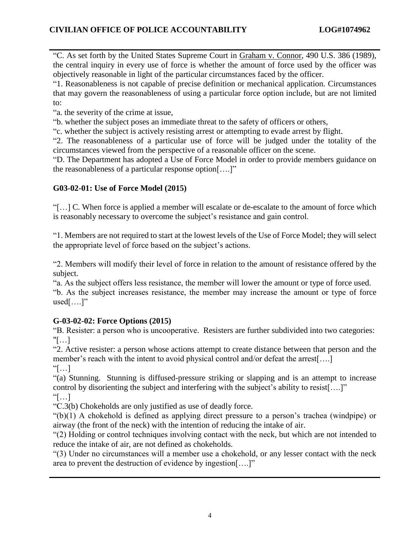"C. As set forth by the United States Supreme Court in Graham v. Connor, 490 U.S. 386 (1989), the central inquiry in every use of force is whether the amount of force used by the officer was objectively reasonable in light of the particular circumstances faced by the officer.

"1. Reasonableness is not capable of precise definition or mechanical application. Circumstances that may govern the reasonableness of using a particular force option include, but are not limited to:

"a. the severity of the crime at issue,

"b. whether the subject poses an immediate threat to the safety of officers or others,

"c. whether the subject is actively resisting arrest or attempting to evade arrest by flight.

"2. The reasonableness of a particular use of force will be judged under the totality of the circumstances viewed from the perspective of a reasonable officer on the scene.

"D. The Department has adopted a Use of Force Model in order to provide members guidance on the reasonableness of a particular response option[….]"

# **G03-02-01: Use of Force Model (2015)**

"[…] C. When force is applied a member will escalate or de-escalate to the amount of force which is reasonably necessary to overcome the subject's resistance and gain control.

"1. Members are not required to start at the lowest levels of the Use of Force Model; they will select the appropriate level of force based on the subject's actions.

"2. Members will modify their level of force in relation to the amount of resistance offered by the subject.

"a. As the subject offers less resistance, the member will lower the amount or type of force used.

"b. As the subject increases resistance, the member may increase the amount or type of force  $used[...."$ 

# **G-03-02-02: Force Options (2015)**

"B. Resister: a person who is uncooperative. Resisters are further subdivided into two categories: "[…]

"2. Active resister: a person whose actions attempt to create distance between that person and the member's reach with the intent to avoid physical control and/or defeat the arrest[....]

 $\lceil \dots \rceil$ 

"(a) Stunning. Stunning is diffused-pressure striking or slapping and is an attempt to increase control by disorienting the subject and interfering with the subject's ability to resist[….]"  $\lceil \dots \rceil$ 

"C.3(b) Chokeholds are only justified as use of deadly force.

"(b)(1) A chokehold is defined as applying direct pressure to a person's trachea (windpipe) or airway (the front of the neck) with the intention of reducing the intake of air.

"(2) Holding or control techniques involving contact with the neck, but which are not intended to reduce the intake of air, are not defined as chokeholds.

"(3) Under no circumstances will a member use a chokehold, or any lesser contact with the neck area to prevent the destruction of evidence by ingestion[….]"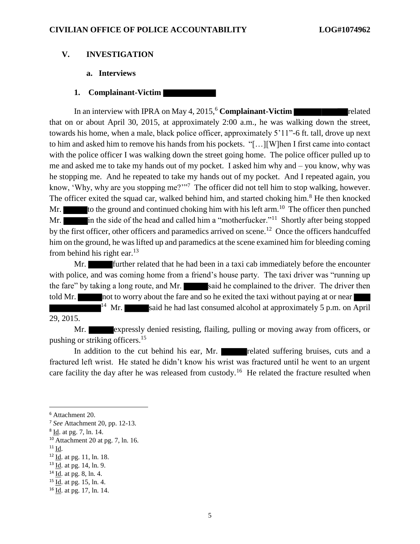### **V. INVESTIGATION**

### **a. Interviews**

#### **1. Complainant-Victim**

In an interview with IPRA on May 4, 2015,<sup>6</sup> Complainant-Victim **related** related that on or about April 30, 2015, at approximately 2:00 a.m., he was walking down the street, towards his home, when a male, black police officer, approximately 5'11"-6 ft. tall, drove up next to him and asked him to remove his hands from his pockets. "[…][W]hen I first came into contact with the police officer I was walking down the street going home. The police officer pulled up to me and asked me to take my hands out of my pocket. I asked him why and – you know, why was he stopping me. And he repeated to take my hands out of my pocket. And I repeated again, you know, 'Why, why are you stopping me?'<sup>"7</sup> The officer did not tell him to stop walking, however. The officer exited the squad car, walked behind him, and started choking him.<sup>8</sup> He then knocked Mr.  $\blacksquare$  to the ground and continued choking him with his left arm.<sup>10</sup> The officer then punched Mr.  $\blacksquare$  in the side of the head and called him a "motherfucker."<sup>11</sup> Shortly after being stopped by the first officer, other officers and paramedics arrived on scene.<sup>12</sup> Once the officers handcuffed him on the ground, he was lifted up and paramedics at the scene examined him for bleeding coming from behind his right ear. $13$ 

Mr. **Further related that he had been in a taxi cab immediately before the encounter** with police, and was coming home from a friend's house party. The taxi driver was "running up the fare" by taking a long route, and Mr. said he complained to the driver. The driver then told Mr. not to worry about the fare and so he exited the taxi without paying at or near <sup>14</sup> Mr. said he had last consumed alcohol at approximately 5 p.m. on April 29, 2015.

Mr. expressly denied resisting, flailing, pulling or moving away from officers, or pushing or striking officers.<sup>15</sup>

In addition to the cut behind his ear, Mr. related suffering bruises, cuts and a fractured left wrist. He stated he didn't know his wrist was fractured until he went to an urgent care facility the day after he was released from custody.<sup>16</sup> He related the fracture resulted when

 $11$  Id.

 $\overline{a}$ 

 $15$  Id. at pg. 15, ln. 4.

<sup>6</sup> Attachment 20.

<sup>7</sup> *See* Attachment 20, pp. 12-13.

<sup>&</sup>lt;sup>8</sup> <u>Id</u>. at pg. 7, ln. 14.

<sup>10</sup> Attachment 20 at pg. 7, ln. 16.

<sup>&</sup>lt;sup>12</sup> Id. at pg. 11, ln. 18.

<sup>13</sup> Id. at pg. 14, ln. 9.

 $14 \underline{Id}$ . at pg. 8, ln. 4.

<sup>16</sup> Id. at pg. 17, ln. 14.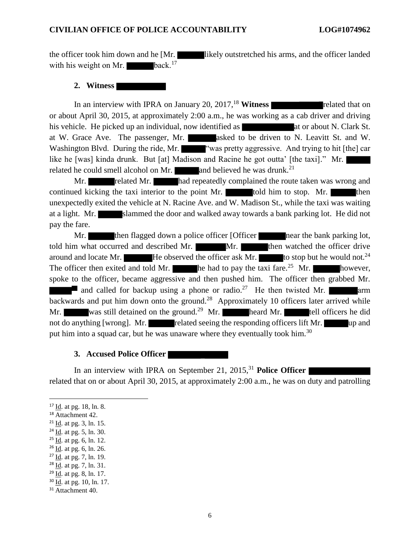the officer took him down and he [Mr. likely outstretched his arms, and the officer landed with his weight on Mr.  $\blacksquare$  back.<sup>17</sup>

### **2. Witness**

In an interview with IPRA on January 20,  $2017$ , <sup>18</sup> Witness **The Integral Structures related that on** or about April 30, 2015, at approximately 2:00 a.m., he was working as a cab driver and driving his vehicle. He picked up an individual, now identified as **at at or about N. Clark St.** at W. Grace Ave. The passenger, Mr. asked to be driven to N. Leavitt St. and W. Washington Blvd. During the ride, Mr. ""was pretty aggressive. And trying to hit [the] car like he [was] kinda drunk. But [at] Madison and Racine he got outta' [the taxi]." Mr. related he could smell alcohol on Mr.  $\Box$  and believed he was drunk.<sup>21</sup>

Mr. The related Mr. Thad repeatedly complained the route taken was wrong and continued kicking the taxi interior to the point Mr. told him to stop. Mr. unexpectedly exited the vehicle at N. Racine Ave. and W. Madison St., while the taxi was waiting at a light. Mr. slammed the door and walked away towards a bank parking lot. He did not pay the fare.

Mr. then flagged down a police officer [Officer near the bank parking lot, told him what occurred and described Mr. Mr. Mr. then watched the officer drive around and locate Mr.  $\blacksquare$  He observed the officer ask Mr.  $\blacksquare$  to stop but he would not.<sup>24</sup> The officer then exited and told Mr.  $\blacksquare$  he had to pay the taxi fare.<sup>25</sup> Mr. however, spoke to the officer, became aggressive and then pushed him. The officer then grabbed Mr. and called for backup using a phone or radio.<sup>27</sup> He then twisted Mr. **a**rm backwards and put him down onto the ground.<sup>28</sup> Approximately 10 officers later arrived while Mr. was still detained on the ground.<sup>29</sup> Mr. heard Mr. tell officers he did not do anything [wrong]. Mr. related seeing the responding officers lift Mr. up and put him into a squad car, but he was unaware where they eventually took him.<sup>30</sup>

#### **3. Accused Police Officer**

In an interview with IPRA on September 21, 2015, <sup>31</sup> **Police Officer**  related that on or about April 30, 2015, at approximately 2:00 a.m., he was on duty and patrolling

- $26$  <u>Id</u>. at pg. 6, ln. 26.
- <sup>27</sup> Id. at pg. 7, ln. 19.

<sup>17</sup> Id. at pg. 18, ln. 8.

<sup>18</sup> Attachment 42.

 $^{21}$  <u>Id</u>. at pg. 3, ln. 15.

 $24$  <u>Id</u>. at pg. 5, ln. 30.

 $25$  Id. at pg. 6, ln. 12.

<sup>28</sup> Id. at pg. 7, ln. 31.

 $29$  <u>Id</u>. at pg. 8, ln. 17.

<sup>30</sup> Id. at pg. 10, ln. 17.

<sup>&</sup>lt;sup>31</sup> Attachment 40.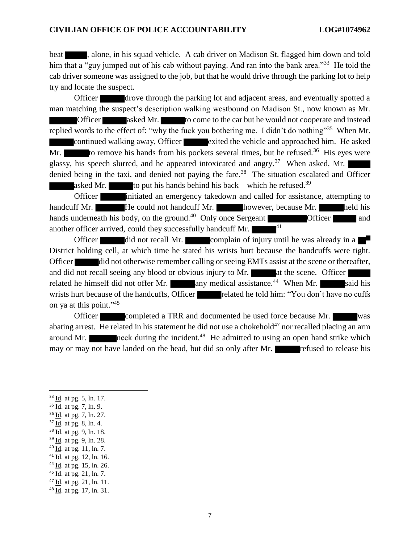beat **the studies**, alone, in his squad vehicle. A cab driver on Madison St. flagged him down and told him that a "guy jumped out of his cab without paying. And ran into the bank area."<sup>33</sup> He told the cab driver someone was assigned to the job, but that he would drive through the parking lot to help try and locate the suspect.

Officer drove through the parking lot and adjacent areas, and eventually spotted a man matching the suspect's description walking westbound on Madison St., now known as Mr. Officer asked Mr. to come to the car but he would not cooperate and instead replied words to the effect of: "why the fuck you bothering me. I didn't do nothing"<sup>35</sup> When Mr. continued walking away, Officer exited the vehicle and approached him. He asked Mr. to remove his hands from his pockets several times, but he refused.<sup>36</sup> His eyes were glassy, his speech slurred, and he appeared intoxicated and angry.<sup>37</sup> When asked, Mr. denied being in the taxi, and denied not paying the fare.<sup>38</sup> The situation escalated and Officer asked Mr. to put his hands behind his back – which he refused.<sup>39</sup>

Officer initiated an emergency takedown and called for assistance, attempting to handcuff Mr. **He could not handcuff Mr.** however, because Mr. **held his** held his hands underneath his body, on the ground.<sup>40</sup> Only once Sergeant **Officer Officer** and another officer arrived, could they successfully handcuff Mr. <sup>41</sup>

Officer did not recall Mr. complain of injury until he was already in a District holding cell, at which time he stated his wrists hurt because the handcuffs were tight. Officer did not otherwise remember calling or seeing EMTs assist at the scene or thereafter, and did not recall seeing any blood or obvious injury to Mr.  $\blacksquare$  at the scene. Officer related he himself did not offer Mr.  $\blacksquare$  any medical assistance.<sup>44</sup> When Mr.  $\blacksquare$  said his wrists hurt because of the handcuffs, Officer related he told him: "You don't have no cuffs on ya at this point." 45

Officer completed a TRR and documented he used force because Mr. abating arrest. He related in his statement he did not use a chokehold<sup>47</sup> nor recalled placing an arm around Mr. **neck** during the incident.<sup>48</sup> He admitted to using an open hand strike which may or may not have landed on the head, but did so only after Mr. **Figure** refused to release his

<sup>33</sup> Id. at pg. 5, ln. 17.

- <sup>35</sup> Id. at pg. 7, ln. 9.
- <sup>36</sup> Id. at pg. 7, ln. 27.
- $37$  <u>Id</u>. at pg. 8, ln. 4.
- <sup>38</sup> Id. at pg. 9, ln. 18.
- <sup>39</sup> Id. at pg. 9, ln. 28.
- $40$  <u>Id</u>. at pg. 11, ln. 7.
- <sup>41</sup> Id. at pg. 12, ln. 16.
- $44$  Id. at pg. 15, ln. 26.
- $45$  <u>Id</u>. at pg. 21, ln. 7.
- <sup>47</sup> Id. at pg. 21, ln. 11.

<sup>48</sup> Id. at pg. 17, ln. 31.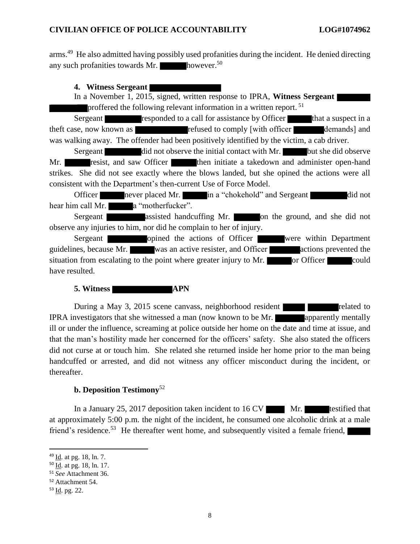arms.<sup>49</sup> He also admitted having possibly used profanities during the incident. He denied directing any such profanities towards Mr.  $\blacksquare$  however.<sup>50</sup>

**4. Witness Sergeant** 

In a November 1, 2015, signed, written response to IPRA, **Witness Sergeant**  proffered the following relevant information in a written report.<sup>51</sup>

Sergeant **responded to a call for assistance by Officer** that a suspect in a theft case, now known as **refused to comply [with officer** demands] and was walking away. The offender had been positively identified by the victim, a cab driver.

Sergeant did not observe the initial contact with Mr. but she did observe Mr. resist, and saw Officer then initiate a takedown and administer open-hand strikes. She did not see exactly where the blows landed, but she opined the actions were all consistent with the Department's then-current Use of Force Model.

Officer never placed Mr. in a "chokehold" and Sergeant did not hear him call Mr. **a** "motherfucker".

Sergeant assisted handcuffing Mr. on the ground, and she did not observe any injuries to him, nor did he complain to her of injury.

Sergeant opined the actions of Officer were within Department guidelines, because Mr. was an active resister, and Officer actions prevented the situation from escalating to the point where greater injury to Mr.  $\overline{\phantom{a}}$  or Officer could have resulted.

**5. Witness APN** 

During a May 3, 2015 scene canvass, neighborhood resident related to IPRA investigators that she witnessed a man (now known to be Mr. apparently mentally ill or under the influence, screaming at police outside her home on the date and time at issue, and that the man's hostility made her concerned for the officers' safety. She also stated the officers did not curse at or touch him. She related she returned inside her home prior to the man being handcuffed or arrested, and did not witness any officer misconduct during the incident, or thereafter.

## **b. Deposition Testimony**<sup>52</sup>

In a January 25, 2017 deposition taken incident to  $16 \text{ CV}$  Mr. testified that at approximately 5:00 p.m. the night of the incident, he consumed one alcoholic drink at a male friend's residence.<sup>53</sup> He thereafter went home, and subsequently visited a female friend,

<sup>&</sup>lt;sup>49</sup> Id. at pg. 18, ln. 7.

<sup>50</sup> Id. at pg. 18, ln. 17.

<sup>51</sup> *See* Attachment 36.

<sup>52</sup> Attachment 54.

<sup>53</sup> Id. pg. 22.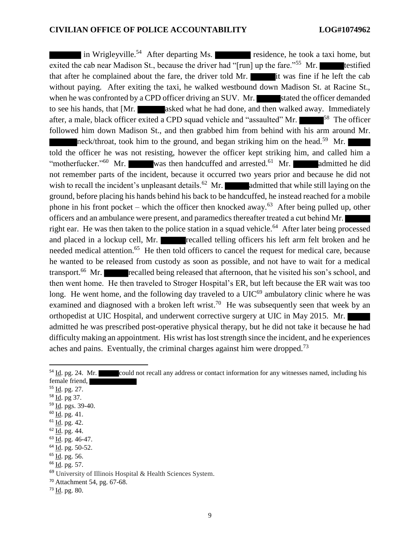in Wrigleyville.<sup>54</sup> After departing Ms. residence, he took a taxi home, but exited the cab near Madison St., because the driver had "[run] up the fare."<sup>55</sup> Mr. testified that after he complained about the fare, the driver told Mr. it was fine if he left the cab without paying. After exiting the taxi, he walked westbound down Madison St. at Racine St., when he was confronted by a CPD officer driving an SUV. Mr. stated the officer demanded to see his hands, that [Mr. asked what he had done, and then walked away. Immediately after, a male, black officer exited a CPD squad vehicle and "assaulted" Mr.  $\blacksquare$ <sup>58</sup> The officer followed him down Madison St., and then grabbed him from behind with his arm around Mr. neck/throat, took him to the ground, and began striking him on the head.<sup>59</sup> Mr. told the officer he was not resisting, however the officer kept striking him, and called him a "motherfucker."<sup>60</sup> Mr. was then handcuffed and arrested.<sup>61</sup> Mr. admitted he did not remember parts of the incident, because it occurred two years prior and because he did not wish to recall the incident's unpleasant details.<sup>62</sup> Mr. **a**dmitted that while still laying on the ground, before placing his hands behind his back to be handcuffed, he instead reached for a mobile phone in his front pocket – which the officer then knocked away.<sup>63</sup> After being pulled up, other officers and an ambulance were present, and paramedics thereafter treated a cut behind Mr. right ear. He was then taken to the police station in a squad vehicle.<sup>64</sup> After later being processed and placed in a lockup cell, Mr. recalled telling officers his left arm felt broken and he needed medical attention.<sup>65</sup> He then told officers to cancel the request for medical care, because he wanted to be released from custody as soon as possible, and not have to wait for a medical transport.<sup>66</sup> Mr. recalled being released that afternoon, that he visited his son's school, and then went home. He then traveled to Stroger Hospital's ER, but left because the ER wait was too long. He went home, and the following day traveled to a  $UIC<sup>69</sup>$  ambulatory clinic where he was examined and diagnosed with a broken left wrist.<sup>70</sup> He was subsequently seen that week by an orthopedist at UIC Hospital, and underwent corrective surgery at UIC in May 2015. Mr. admitted he was prescribed post-operative physical therapy, but he did not take it because he had difficulty making an appointment. His wrist has lost strength since the incident, and he experiences aches and pains. Eventually, the criminal charges against him were dropped.<sup>73</sup>

<sup>55</sup> Id. pg. 27.

 $\overline{a}$ 

- <sup>58</sup> Id. pg 37.
- <sup>59</sup> Id. pgs. 39-40.
- $60$  <u>Id</u>. pg. 41.
- $61$  Id. pg. 42.
- $62$  Id. pg. 44.
- $63$   $\underline{Id}$ . pg. 46-47.
- <sup>64</sup> Id. pg. 50-52.
- <sup>65</sup> Id. pg. 56.
- <sup>66</sup> Id. pg. 57.
- <sup>69</sup> University of Illinois Hospital & Health Sciences System.
- <sup>70</sup> Attachment 54, pg. 67-68.
- $73$   $\underline{Id}$ . pg. 80.

<sup>&</sup>lt;sup>54</sup> Id. pg. 24. Mr. could not recall any address or contact information for any witnesses named, including his female friend,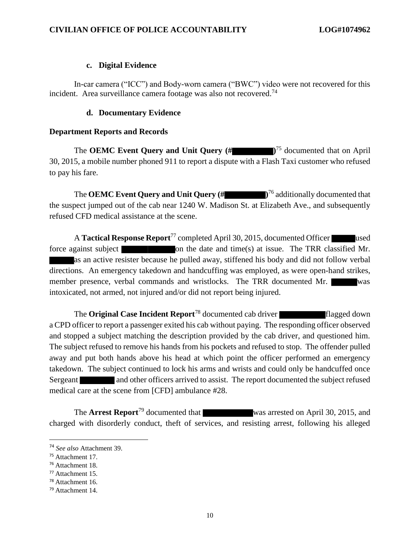#### **c. Digital Evidence**

In-car camera ("ICC") and Body-worn camera ("BWC") video were not recovered for this incident. Area surveillance camera footage was also not recovered.<sup>74</sup>

### **d. Documentary Evidence**

### **Department Reports and Records**

The **OEMC Event Query and Unit Query (# )** <sup>75</sup> documented that on April 30, 2015, a mobile number phoned 911 to report a dispute with a Flash Taxi customer who refused to pay his fare.

The **OEMC Event Query and Unit Query (# )**<sup>76</sup> additionally documented that the suspect jumped out of the cab near 1240 W. Madison St. at Elizabeth Ave., and subsequently refused CFD medical assistance at the scene.

A **Tactical Response Report**<sup>77</sup> completed April 30, 2015, documented Officer used force against subject  $\blacksquare$  on the date and time(s) at issue. The TRR classified Mr. as an active resister because he pulled away, stiffened his body and did not follow verbal directions. An emergency takedown and handcuffing was employed, as were open-hand strikes, member presence, verbal commands and wristlocks. The TRR documented Mr. was intoxicated, not armed, not injured and/or did not report being injured.

The **Original Case Incident Report**<sup>78</sup> documented cab driver flagged down a CPD officer to report a passenger exited his cab without paying. The responding officer observed and stopped a subject matching the description provided by the cab driver, and questioned him. The subject refused to remove his hands from his pockets and refused to stop. The offender pulled away and put both hands above his head at which point the officer performed an emergency takedown. The subject continued to lock his arms and wrists and could only be handcuffed once Sergeant and other officers arrived to assist. The report documented the subject refused medical care at the scene from [CFD] ambulance #28.

The **Arrest Report**<sup>79</sup> documented that was arrested on April 30, 2015, and charged with disorderly conduct, theft of services, and resisting arrest, following his alleged

<sup>74</sup> *See also* Attachment 39.

<sup>75</sup> Attachment 17.

<sup>76</sup> Attachment 18.

<sup>77</sup> Attachment 15.

<sup>78</sup> Attachment 16.

<sup>79</sup> Attachment 14.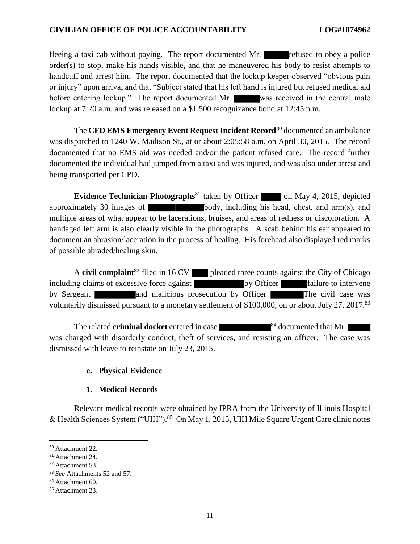fleeing a taxi cab without paying. The report documented Mr. **Figure** refused to obey a police order(s) to stop, make his hands visible, and that he maneuvered his body to resist attempts to handcuff and arrest him. The report documented that the lockup keeper observed "obvious pain or injury" upon arrival and that "Subject stated that his left hand is injured but refused medical aid before entering lockup." The report documented Mr. was received in the central male lockup at 7:20 a.m. and was released on a \$1,500 recognizance bond at 12:45 p.m.

The **CFD EMS Emergency Event Request Incident Record**<sup>80</sup> documented an ambulance was dispatched to 1240 W. Madison St., at or about 2:05:58 a.m. on April 30, 2015. The record documented that no EMS aid was needed and/or the patient refused care. The record further documented the individual had jumped from a taxi and was injured, and was also under arrest and being transported per CPD.

**Evidence Technician Photographs**<sup>81</sup> taken by Officer on May 4, 2015, depicted approximately 30 images of  $\blacksquare$  body, including his head, chest, and arm(s), and multiple areas of what appear to be lacerations, bruises, and areas of redness or discoloration. A bandaged left arm is also clearly visible in the photographs. A scab behind his ear appeared to document an abrasion/laceration in the process of healing. His forehead also displayed red marks of possible abraded/healing skin.

A **civil complaint<sup>82</sup>** filed in 16 CV pleaded three counts against the City of Chicago including claims of excessive force against by Officer failure to intervene by Sergeant and malicious prosecution by Officer The civil case was voluntarily dismissed pursuant to a monetary settlement of \$100,000, on or about July 27, 2017.<sup>83</sup>

The related **criminal docket** entered in case  $\frac{84}{4}$  documented that Mr. was charged with disorderly conduct, theft of services, and resisting an officer. The case was dismissed with leave to reinstate on July 23, 2015.

## **e. Physical Evidence**

### **1. Medical Records**

Relevant medical records were obtained by IPRA from the University of Illinois Hospital & Health Sciences System ("UIH").<sup>85</sup> On May 1, 2015, UIH Mile Square Urgent Care clinic notes

l

<sup>80</sup> Attachment 22.

<sup>81</sup> Attachment 24.

<sup>82</sup> Attachment 53.

<sup>83</sup> *See* Attachments 52 and 57.

<sup>&</sup>lt;sup>84</sup> Attachment 60.

<sup>&</sup>lt;sup>85</sup> Attachment 23.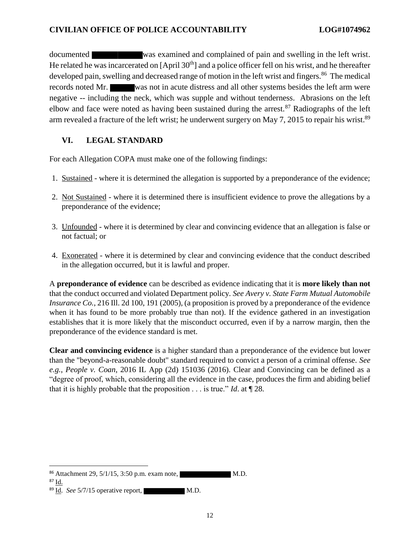documented was examined and complained of pain and swelling in the left wrist. He related he was incarcerated on  $[April 30<sup>th</sup>]$  and a police officer fell on his wrist, and he thereafter developed pain, swelling and decreased range of motion in the left wrist and fingers.<sup>86</sup> The medical records noted Mr. was not in acute distress and all other systems besides the left arm were negative -- including the neck, which was supple and without tenderness. Abrasions on the left elbow and face were noted as having been sustained during the arrest. $87$  Radiographs of the left arm revealed a fracture of the left wrist; he underwent surgery on May 7, 2015 to repair his wrist.<sup>89</sup>

## **VI. LEGAL STANDARD**

For each Allegation COPA must make one of the following findings:

- 1. Sustained where it is determined the allegation is supported by a preponderance of the evidence;
- 2. Not Sustained where it is determined there is insufficient evidence to prove the allegations by a preponderance of the evidence;
- 3. Unfounded where it is determined by clear and convincing evidence that an allegation is false or not factual; or
- 4. Exonerated where it is determined by clear and convincing evidence that the conduct described in the allegation occurred, but it is lawful and proper.

A **preponderance of evidence** can be described as evidence indicating that it is **more likely than not** that the conduct occurred and violated Department policy. *See Avery v. State Farm Mutual Automobile Insurance Co.*, 216 Ill. 2d 100, 191 (2005), (a proposition is proved by a preponderance of the evidence when it has found to be more probably true than not). If the evidence gathered in an investigation establishes that it is more likely that the misconduct occurred, even if by a narrow margin, then the preponderance of the evidence standard is met.

**Clear and convincing evidence** is a higher standard than a preponderance of the evidence but lower than the "beyond-a-reasonable doubt" standard required to convict a person of a criminal offense. *See e.g.*, *People v. Coan*, 2016 IL App (2d) 151036 (2016). Clear and Convincing can be defined as a "degree of proof, which, considering all the evidence in the case, produces the firm and abiding belief that it is highly probable that the proposition . . . is true." *Id*. at ¶ 28.

 $\overline{a}$  $86$  Attachment 29,  $5/1/15$ ,  $3:50$  p.m. exam note, M.D.

<sup>87</sup> Id.

<sup>&</sup>lt;sup>89</sup> Id. *See* 5/7/15 operative report, M.D.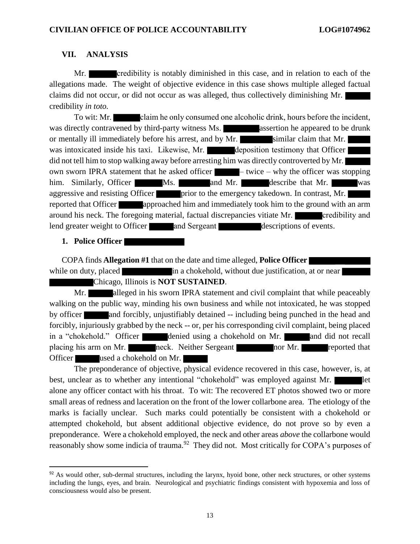### **VII. ANALYSIS**

Mr. **credibility is notably diminished in this case, and in relation to each of the** allegations made. The weight of objective evidence in this case shows multiple alleged factual claims did not occur, or did not occur as was alleged, thus collectively diminishing Mr. credibility *in toto.*

To wit: Mr. claim he only consumed one alcoholic drink, hours before the incident, was directly contravened by third-party witness Ms. **All assertion he appeared to be drunk** or mentally ill immediately before his arrest, and by Mr. similar claim that Mr. was intoxicated inside his taxi. Likewise, Mr. deposition testimony that Officer did not tell him to stop walking away before arresting him was directly controverted by Mr. own sworn IPRA statement that he asked officer  $-$  twice – why the officer was stopping him. Similarly, Officer Ms. and Mr. describe that Mr. was aggressive and resisting Officer prior to the emergency takedown. In contrast, Mr. reported that Officer **approached him and immediately took him to the ground with an arm** around his neck. The foregoing material, factual discrepancies vitiate Mr. credibility and lend greater weight to Officer and Sergeant descriptions of events.

### **1. Police Officer**

 $\overline{\phantom{a}}$ 

COPA finds **Allegation #1** that on the date and time alleged, **Police Officer** while on duty, placed in a chokehold, without due justification, at or near Chicago, Illinois is **NOT SUSTAINED**.

Mr. **alleged in his sworn IPRA statement and civil complaint that while peaceably** walking on the public way, minding his own business and while not intoxicated, he was stopped by officer and forcibly, unjustifiably detained -- including being punched in the head and forcibly, injuriously grabbed by the neck -- or, per his corresponding civil complaint, being placed in a "chokehold." Officer denied using a chokehold on Mr. and did not recall placing his arm on Mr. **neck.** Neither Sergeant **nor Mr.** reported that Officer used a chokehold on Mr.

The preponderance of objective, physical evidence recovered in this case, however, is, at best, unclear as to whether any intentional "chokehold" was employed against Mr. alone any officer contact with his throat. To wit: The recovered ET photos showed two or more small areas of redness and laceration on the front of the lower collarbone area. The etiology of the marks is facially unclear. Such marks could potentially be consistent with a chokehold or attempted chokehold, but absent additional objective evidence, do not prove so by even a preponderance. Were a chokehold employed, the neck and other areas *above* the collarbone would reasonably show some indicia of trauma.<sup>92</sup> They did not. Most critically for COPA's purposes of

<sup>92</sup> As would other, sub-dermal structures, including the larynx, hyoid bone, other neck structures, or other systems including the lungs, eyes, and brain. Neurological and psychiatric findings consistent with hypoxemia and loss of consciousness would also be present.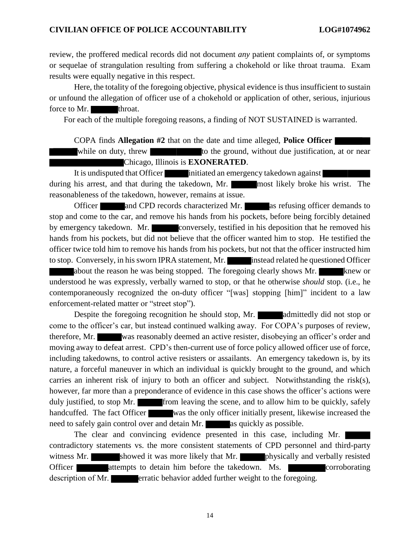review, the proffered medical records did not document *any* patient complaints of, or symptoms or sequelae of strangulation resulting from suffering a chokehold or like throat trauma. Exam results were equally negative in this respect.

Here, the totality of the foregoing objective, physical evidence is thus insufficient to sustain or unfound the allegation of officer use of a chokehold or application of other, serious, injurious force to Mr. throat.

For each of the multiple foregoing reasons, a finding of NOT SUSTAINED is warranted.

COPA finds **Allegation #2** that on the date and time alleged, **Police Officer** 

while on duty, threw to the ground, without due justification, at or near Chicago, Illinois is **EXONERATED**.

It is undisputed that Officer initiated an emergency takedown against during his arrest, and that during the takedown, Mr. most likely broke his wrist. The reasonableness of the takedown, however, remains at issue.

Officer and CPD records characterized Mr. as refusing officer demands to stop and come to the car, and remove his hands from his pockets, before being forcibly detained by emergency takedown. Mr. conversely, testified in his deposition that he removed his hands from his pockets, but did not believe that the officer wanted him to stop. He testified the officer twice told him to remove his hands from his pockets, but not that the officer instructed him to stop. Conversely, in his sworn IPRA statement, Mr. instead related he questioned Officer about the reason he was being stopped. The foregoing clearly shows Mr. knew or understood he was expressly, verbally warned to stop, or that he otherwise *should* stop. (i.e., he contemporaneously recognized the on-duty officer "[was] stopping [him]" incident to a law enforcement-related matter or "street stop").

Despite the foregoing recognition he should stop, Mr. admittedly did not stop or come to the officer's car, but instead continued walking away. For COPA's purposes of review, therefore, Mr. was reasonably deemed an active resister, disobeying an officer's order and moving away to defeat arrest. CPD's then-current use of force policy allowed officer use of force, including takedowns, to control active resisters or assailants. An emergency takedown is, by its nature, a forceful maneuver in which an individual is quickly brought to the ground, and which carries an inherent risk of injury to both an officer and subject. Notwithstanding the risk(s), however, far more than a preponderance of evidence in this case shows the officer's actions were duly justified, to stop Mr. from leaving the scene, and to allow him to be quickly, safely handcuffed. The fact Officer was the only officer initially present, likewise increased the need to safely gain control over and detain Mr. as quickly as possible.

The clear and convincing evidence presented in this case, including Mr. contradictory statements vs. the more consistent statements of CPD personnel and third-party witness Mr. showed it was more likely that Mr. physically and verbally resisted Officer attempts to detain him before the takedown. Ms. description of Mr. **erratic behavior added further weight to the foregoing.**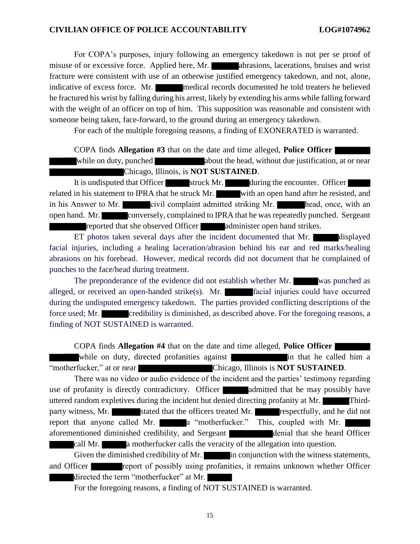For COPA's purposes, injury following an emergency takedown is not per se proof of misuse of or excessive force. Applied here, Mr. **abrasions**, lacerations, bruises and wrist fracture were consistent with use of an otherwise justified emergency takedown, and not, alone, indicative of excess force. Mr. medical records documented he told treaters he believed he fractured his wrist by falling during his arrest, likely by extending his arms while falling forward with the weight of an officer on top of him. This supposition was reasonable and consistent with someone being taken, face-forward, to the ground during an emergency takedown.

For each of the multiple foregoing reasons, a finding of EXONERATED is warranted.

COPA finds **Allegation #3** that on the date and time alleged, **Police Officer** 

while on duty, punched about the head, without due justification, at or near Chicago, Illinois, is **NOT SUSTAINED**.

It is undisputed that Officer struck Mr. during the encounter. Officer related in his statement to IPRA that he struck Mr. with an open hand after he resisted, and in his Answer to Mr. civil complaint admitted striking Mr. head, once, with an open hand. Mr. conversely, complained to IPRA that he was repeatedly punched. Sergeant reported that she observed Officer administer open hand strikes.

ET photos taken several days after the incident documented that Mr. displayed facial injuries, including a healing laceration/abrasion behind his ear and red marks/healing abrasions on his forehead. However, medical records did not document that he complained of punches to the face/head during treatment.

The preponderance of the evidence did not establish whether Mr. was punched as alleged, or received an open-handed strike(s). Mr. **Facial injuries could have occurred** during the undisputed emergency takedown. The parties provided conflicting descriptions of the force used; Mr. credibility is diminished, as described above. For the foregoing reasons, a finding of NOT SUSTAINED is warranted.

COPA finds **Allegation #4** that on the date and time alleged, **Police Officer**  while on duty, directed profanities against **in** that he called him a

"motherfucker," at or near Chicago, Illinois is **NOT SUSTAINED**. There was no video or audio evidence of the incident and the parties' testimony regarding

use of profanity is directly contradictory. Officer **a**dmitted that he may possibly have uttered random expletives during the incident but denied directing profanity at Mr. Thirdparty witness, Mr. stated that the officers treated Mr. respectfully, and he did not report that anyone called Mr. **a** "motherfucker." This, coupled with Mr. aforementioned diminished credibility, and Sergeant denial that she heard Officer

call Mr. **a** motherfucker calls the veracity of the allegation into question.

Given the diminished credibility of Mr. in conjunction with the witness statements, and Officer **report of possibly using profanities**, it remains unknown whether Officer directed the term "motherfucker" at Mr.

For the foregoing reasons, a finding of NOT SUSTAINED is warranted.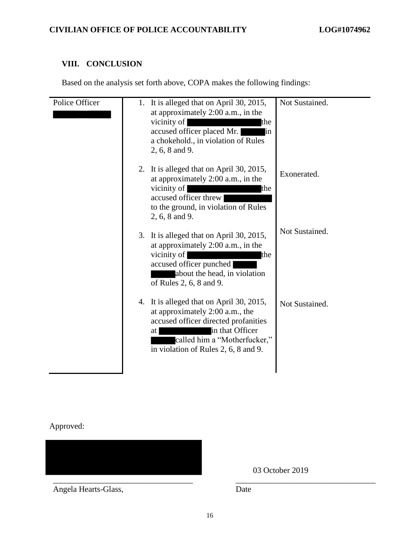# **VIII. CONCLUSION**

Based on the analysis set forth above, COPA makes the following findings:

| Police Officer | Not Sustained.<br>1. It is alleged that on April 30, 2015,<br>at approximately 2:00 a.m., in the<br>vicinity of<br>the<br>accused officer placed Mr.<br>lin.<br>a chokehold., in violation of Rules<br>2, 6, 8 and 9.                  |  |
|----------------|----------------------------------------------------------------------------------------------------------------------------------------------------------------------------------------------------------------------------------------|--|
|                | 2. It is alleged that on April 30, 2015,<br>Exonerated.<br>at approximately 2:00 a.m., in the<br>vicinity of<br>the<br>accused officer threw<br>to the ground, in violation of Rules<br>2, 6, 8 and 9.                                 |  |
|                | Not Sustained.<br>3. It is alleged that on April 30, 2015,<br>at approximately 2:00 a.m., in the<br>vicinity of<br>the<br>accused officer punched<br>about the head, in violation<br>of Rules 2, 6, 8 and 9.                           |  |
|                | 4. It is alleged that on April 30, 2015,<br>Not Sustained.<br>at approximately 2:00 a.m., the<br>accused officer directed profanities<br>in that Officer<br>at<br>called him a "Motherfucker,"<br>in violation of Rules 2, 6, 8 and 9. |  |

Approved:

\_\_\_\_\_\_\_\_\_\_\_\_\_\_\_\_\_\_\_\_\_\_\_\_\_\_\_\_\_\_\_\_\_\_ \_\_\_\_\_\_\_\_\_\_\_\_\_\_\_\_\_\_\_\_\_\_\_\_\_\_\_\_\_\_\_\_\_\_

Angela Hearts-Glass, Date

03 October 2019